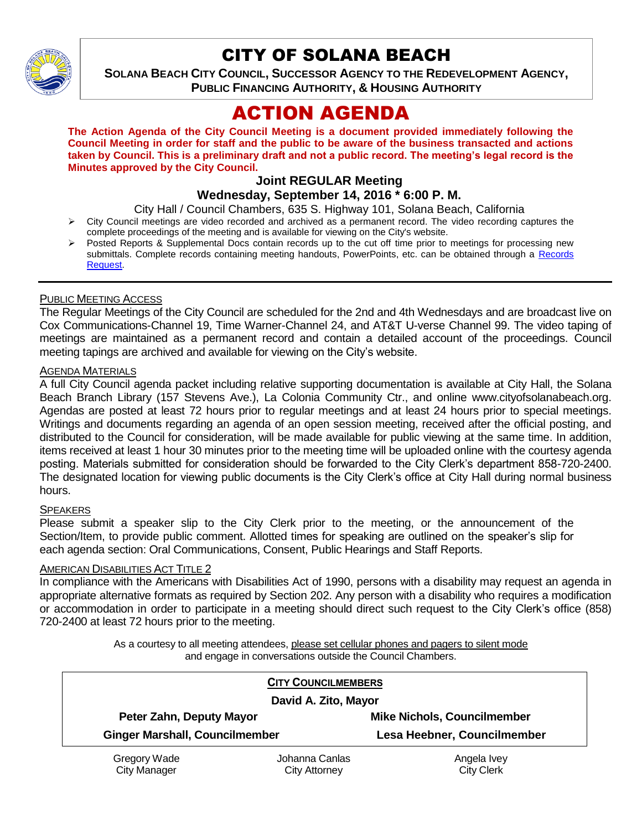

# CITY OF SOLANA BEACH

**SOLANA BEACH CITY COUNCIL, SUCCESSOR AGENCY TO THE REDEVELOPMENT AGENCY, PUBLIC FINANCING AUTHORITY, & HOUSING AUTHORITY** 

# ACTION AGENDA

**The Action Agenda of the City Council Meeting is a document provided immediately following the Council Meeting in order for staff and the public to be aware of the business transacted and actions taken by Council. This is a preliminary draft and not a public record. The meeting's legal record is the Minutes approved by the City Council.**

# **Joint REGULAR Meeting**

**Wednesday, September 14, 2016 \* 6:00 P. M.**

City Hall / Council Chambers, 635 S. Highway 101, Solana Beach, California

- $\triangleright$  City Council meetings are video recorded and archived as a permanent record. The video recording captures the complete proceedings of the meeting and is available for viewing on the City's website.
- Posted Reports & Supplemental Docs contain records up to the cut off time prior to meetings for processing new submittals. Complete records containing meeting handouts, PowerPoints, etc. can be obtained through a Records [Request.](http://www.ci.solana-beach.ca.us/index.asp?SEC=F5D45D10-70CE-4291-A27C-7BD633FC6742&Type=B_BASIC)

# PUBLIC MEETING ACCESS

The Regular Meetings of the City Council are scheduled for the 2nd and 4th Wednesdays and are broadcast live on Cox Communications-Channel 19, Time Warner-Channel 24, and AT&T U-verse Channel 99. The video taping of meetings are maintained as a permanent record and contain a detailed account of the proceedings. Council meeting tapings are archived and available for viewing on the City's website.

# **AGENDA MATERIALS**

A full City Council agenda packet including relative supporting documentation is available at City Hall, the Solana Beach Branch Library (157 Stevens Ave.), La Colonia Community Ctr., and online www.cityofsolanabeach.org. Agendas are posted at least 72 hours prior to regular meetings and at least 24 hours prior to special meetings. Writings and documents regarding an agenda of an open session meeting, received after the official posting, and distributed to the Council for consideration, will be made available for public viewing at the same time. In addition, items received at least 1 hour 30 minutes prior to the meeting time will be uploaded online with the courtesy agenda posting. Materials submitted for consideration should be forwarded to the City Clerk's department 858-720-2400. The designated location for viewing public documents is the City Clerk's office at City Hall during normal business hours.

# **SPEAKERS**

Please submit a speaker slip to the City Clerk prior to the meeting, or the announcement of the Section/Item, to provide public comment. Allotted times for speaking are outlined on the speaker's slip for each agenda section: Oral Communications, Consent, Public Hearings and Staff Reports.

# AMERICAN DISABILITIES ACT TITLE 2

In compliance with the Americans with Disabilities Act of 1990, persons with a disability may request an agenda in appropriate alternative formats as required by Section 202. Any person with a disability who requires a modification or accommodation in order to participate in a meeting should direct such request to the City Clerk's office (858) 720-2400 at least 72 hours prior to the meeting.

> As a courtesy to all meeting attendees, please set cellular phones and pagers to silent mode and engage in conversations outside the Council Chambers.

|                                       | <b>CITY COUNCILMEMBERS</b> |                                    |
|---------------------------------------|----------------------------|------------------------------------|
| David A. Zito, Mayor                  |                            |                                    |
| Peter Zahn, Deputy Mayor              |                            | <b>Mike Nichols, Councilmember</b> |
| <b>Ginger Marshall, Councilmember</b> |                            | Lesa Heebner, Councilmember        |
| Gregory Wade                          | Johanna Canlas             | Angela Ivey                        |
| <b>City Manager</b>                   | City Attorney              | <b>City Clerk</b>                  |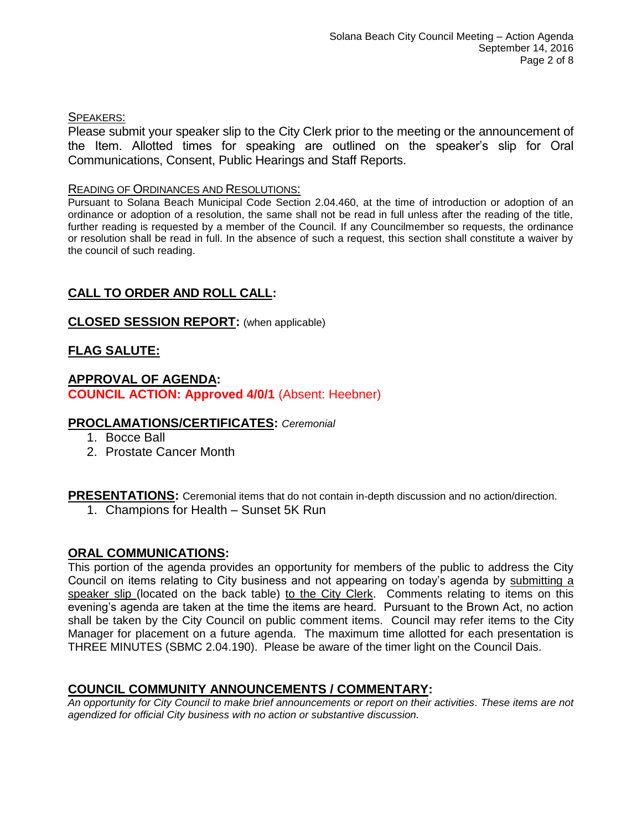# SPEAKERS:

Please submit your speaker slip to the City Clerk prior to the meeting or the announcement of the Item. Allotted times for speaking are outlined on the speaker's slip for Oral Communications, Consent, Public Hearings and Staff Reports.

# READING OF ORDINANCES AND RESOLUTIONS:

Pursuant to Solana Beach Municipal Code Section 2.04.460, at the time of introduction or adoption of an ordinance or adoption of a resolution, the same shall not be read in full unless after the reading of the title, further reading is requested by a member of the Council. If any Councilmember so requests, the ordinance or resolution shall be read in full. In the absence of such a request, this section shall constitute a waiver by the council of such reading.

# **CALL TO ORDER AND ROLL CALL:**

# **CLOSED SESSION REPORT:** (when applicable)

# **FLAG SALUTE:**

# **APPROVAL OF AGENDA: COUNCIL ACTION: Approved 4/0/1** (Absent: Heebner)

# **PROCLAMATIONS/CERTIFICATES:** *Ceremonial*

- 1. Bocce Ball
- 2. Prostate Cancer Month

# **PRESENTATIONS:** Ceremonial items that do not contain in-depth discussion and no action/direction.

1. Champions for Health – Sunset 5K Run

# **ORAL COMMUNICATIONS:**

This portion of the agenda provides an opportunity for members of the public to address the City Council on items relating to City business and not appearing on today's agenda by submitting a speaker slip (located on the back table) to the City Clerk. Comments relating to items on this evening's agenda are taken at the time the items are heard. Pursuant to the Brown Act, no action shall be taken by the City Council on public comment items. Council may refer items to the City Manager for placement on a future agenda. The maximum time allotted for each presentation is THREE MINUTES (SBMC 2.04.190). Please be aware of the timer light on the Council Dais.

# **COUNCIL COMMUNITY ANNOUNCEMENTS / COMMENTARY:**

*An opportunity for City Council to make brief announcements or report on their activities. These items are not agendized for official City business with no action or substantive discussion.*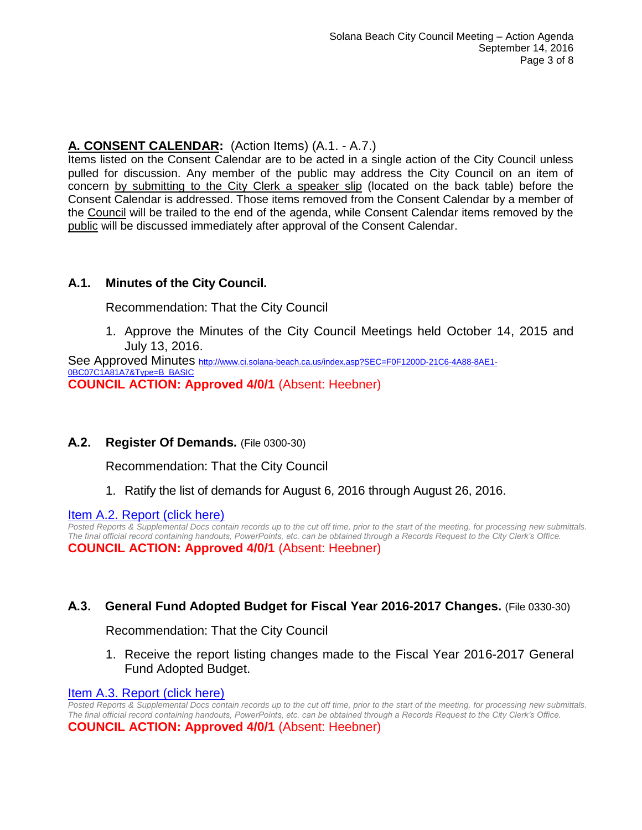# **A. CONSENT CALENDAR:** (Action Items) (A.1. - A.7.)

Items listed on the Consent Calendar are to be acted in a single action of the City Council unless pulled for discussion. Any member of the public may address the City Council on an item of concern by submitting to the City Clerk a speaker slip (located on the back table) before the Consent Calendar is addressed. Those items removed from the Consent Calendar by a member of the Council will be trailed to the end of the agenda, while Consent Calendar items removed by the public will be discussed immediately after approval of the Consent Calendar.

# **A.1. Minutes of the City Council.**

Recommendation: That the City Council

1. Approve the Minutes of the City Council Meetings held October 14, 2015 and July 13, 2016.

See Approved Minutes [http://www.ci.solana-beach.ca.us/index.asp?SEC=F0F1200D-21C6-4A88-8AE1-](http://www.ci.solana-beach.ca.us/index.asp?SEC=F0F1200D-21C6-4A88-8AE1-0BC07C1A81A7&Type=B_BASIC) [0BC07C1A81A7&Type=B\\_BASIC](http://www.ci.solana-beach.ca.us/index.asp?SEC=F0F1200D-21C6-4A88-8AE1-0BC07C1A81A7&Type=B_BASIC) **COUNCIL ACTION: Approved 4/0/1** (Absent: Heebner)

# **A.2. Register Of Demands.** (File 0300-30)

Recommendation: That the City Council

1. Ratify the list of demands for August 6, 2016 through August 26, 2016.

[Item A.2. Report \(click here\)](https://solanabeach.govoffice3.com/vertical/Sites/%7B840804C2-F869-4904-9AE3-720581350CE7%7D/uploads/Item_A.2._Report_(click_here)_09-14-16.PDF)

*Posted Reports & Supplemental Docs contain records up to the cut off time, prior to the start of the meeting, for processing new submittals. The final official record containing handouts, PowerPoints, etc. can be obtained through a Records Request to the City Clerk's Office.* **COUNCIL ACTION: Approved 4/0/1** (Absent: Heebner)

# **A.3. General Fund Adopted Budget for Fiscal Year 2016-2017 Changes.** (File 0330-30)

Recommendation: That the City Council

1. Receive the report listing changes made to the Fiscal Year 2016-2017 General Fund Adopted Budget.

# [Item A.3. Report \(click here\)](https://solanabeach.govoffice3.com/vertical/Sites/%7B840804C2-F869-4904-9AE3-720581350CE7%7D/uploads/Item_A.3._Report_(click_here)_09-14-16.PDF)

*Posted Reports & Supplemental Docs contain records up to the cut off time, prior to the start of the meeting, for processing new submittals. The final official record containing handouts, PowerPoints, etc. can be obtained through a Records Request to the City Clerk's Office.*

**COUNCIL ACTION: Approved 4/0/1** (Absent: Heebner)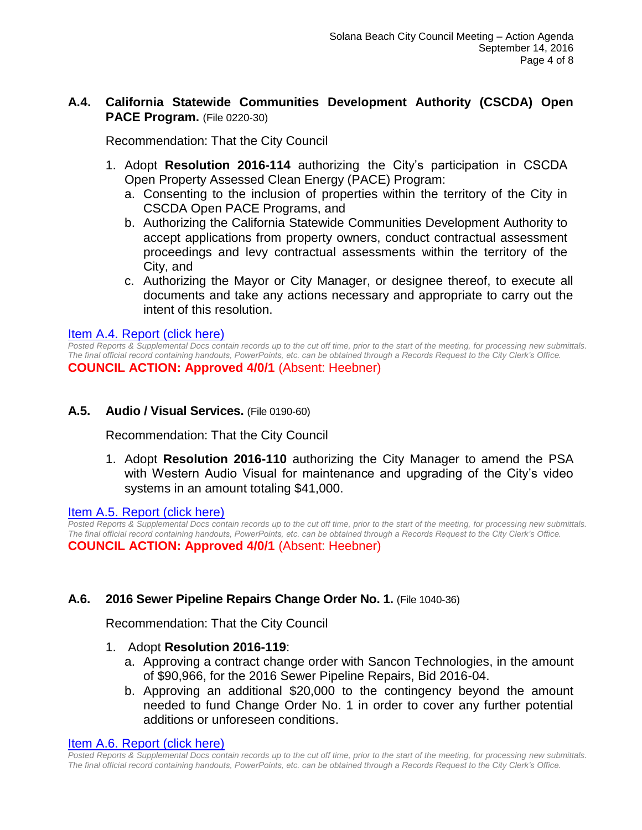# **A.4. California Statewide Communities Development Authority (CSCDA) Open PACE Program.** (File 0220-30)

Recommendation: That the City Council

- 1. Adopt **Resolution 2016-114** authorizing the City's participation in CSCDA Open Property Assessed Clean Energy (PACE) Program:
	- a. Consenting to the inclusion of properties within the territory of the City in CSCDA Open PACE Programs, and
	- b. Authorizing the California Statewide Communities Development Authority to accept applications from property owners, conduct contractual assessment proceedings and levy contractual assessments within the territory of the City, and
	- c. Authorizing the Mayor or City Manager, or designee thereof, to execute all documents and take any actions necessary and appropriate to carry out the intent of this resolution.

# [Item A.4. Report \(click here\)](https://solanabeach.govoffice3.com/vertical/Sites/%7B840804C2-F869-4904-9AE3-720581350CE7%7D/uploads/Item_A.4._Report_(click_here)_09-14-16.PDF)

*Posted Reports & Supplemental Docs contain records up to the cut off time, prior to the start of the meeting, for processing new submittals. The final official record containing handouts, PowerPoints, etc. can be obtained through a Records Request to the City Clerk's Office.* **COUNCIL ACTION: Approved 4/0/1** (Absent: Heebner)

# **A.5. Audio / Visual Services.** (File 0190-60)

Recommendation: That the City Council

1. Adopt **Resolution 2016-110** authorizing the City Manager to amend the PSA with Western Audio Visual for maintenance and upgrading of the City's video systems in an amount totaling \$41,000.

Item A.5. [Report \(click here\)](https://solanabeach.govoffice3.com/vertical/Sites/%7B840804C2-F869-4904-9AE3-720581350CE7%7D/uploads/Item_A.5._Report_(click_here)_09-14-16.PDF)

*Posted Reports & Supplemental Docs contain records up to the cut off time, prior to the start of the meeting, for processing new submittals. The final official record containing handouts, PowerPoints, etc. can be obtained through a Records Request to the City Clerk's Office.* **COUNCIL ACTION: Approved 4/0/1** (Absent: Heebner)

# **A.6. 2016 Sewer Pipeline Repairs Change Order No. 1.** (File 1040-36)

Recommendation: That the City Council

- 1. Adopt **Resolution 2016-119**:
	- a. Approving a contract change order with Sancon Technologies, in the amount of \$90,966, for the 2016 Sewer Pipeline Repairs, Bid 2016-04.
	- b. Approving an additional \$20,000 to the contingency beyond the amount needed to fund Change Order No. 1 in order to cover any further potential additions or unforeseen conditions.

#### [Item A.6. Report \(click here\)](https://solanabeach.govoffice3.com/vertical/Sites/%7B840804C2-F869-4904-9AE3-720581350CE7%7D/uploads/Item_A.6._Report_(click_here)_09-14-16.PDF)

*Posted Reports & Supplemental Docs contain records up to the cut off time, prior to the start of the meeting, for processing new submittals. The final official record containing handouts, PowerPoints, etc. can be obtained through a Records Request to the City Clerk's Office.*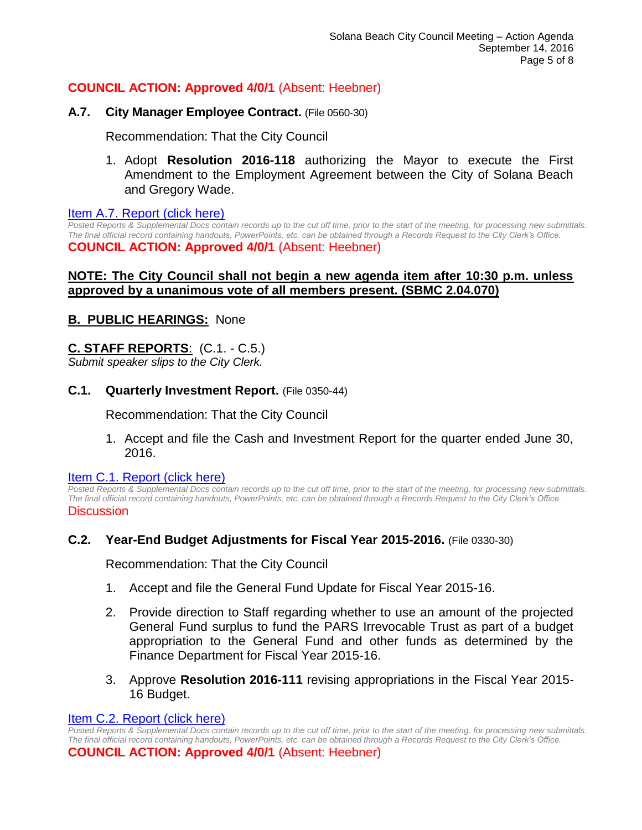# **COUNCIL ACTION: Approved 4/0/1** (Absent: Heebner)

# **A.7. City Manager Employee Contract.** (File 0560-30)

Recommendation: That the City Council

1. Adopt **Resolution 2016-118** authorizing the Mayor to execute the First Amendment to the Employment Agreement between the City of Solana Beach and Gregory Wade.

#### [Item A.7. Report \(click here\)](https://solanabeach.govoffice3.com/vertical/Sites/%7B840804C2-F869-4904-9AE3-720581350CE7%7D/uploads/Item_A.7._Report_(click_here)_09-14-16.PDF)

*Posted Reports & Supplemental Docs contain records up to the cut off time, prior to the start of the meeting, for processing new submittals. The final official record containing handouts, PowerPoints, etc. can be obtained through a Records Request to the City Clerk's Office.* **COUNCIL ACTION: Approved 4/0/1** (Absent: Heebner)

# **NOTE: The City Council shall not begin a new agenda item after 10:30 p.m. unless approved by a unanimous vote of all members present. (SBMC 2.04.070)**

# **B. PUBLIC HEARINGS:** None

# **C. STAFF REPORTS**: (C.1. - C.5.)

*Submit speaker slips to the City Clerk.*

# **C.1. Quarterly Investment Report.** (File 0350-44)

Recommendation: That the City Council

1. Accept and file the Cash and Investment Report for the quarter ended June 30, 2016.

#### [Item C.1. Report \(click](https://solanabeach.govoffice3.com/vertical/Sites/%7B840804C2-F869-4904-9AE3-720581350CE7%7D/uploads/Item_C.1._Report_(click_here)_09-14-16.PDF) here)

*Posted Reports & Supplemental Docs contain records up to the cut off time, prior to the start of the meeting, for processing new submittals. The final official record containing handouts, PowerPoints, etc. can be obtained through a Records Request to the City Clerk's Office.* **Discussion** 

# **C.2. Year-End Budget Adjustments for Fiscal Year 2015-2016.** (File 0330-30)

Recommendation: That the City Council

- 1. Accept and file the General Fund Update for Fiscal Year 2015-16.
- 2. Provide direction to Staff regarding whether to use an amount of the projected General Fund surplus to fund the PARS Irrevocable Trust as part of a budget appropriation to the General Fund and other funds as determined by the Finance Department for Fiscal Year 2015-16.
- 3. Approve **Resolution 2016-111** revising appropriations in the Fiscal Year 2015- 16 Budget.

#### [Item C.2. Report \(click here\)](https://solanabeach.govoffice3.com/vertical/Sites/%7B840804C2-F869-4904-9AE3-720581350CE7%7D/uploads/Item_C.2._Report_(click_here)_09-14-16.PDF)

*Posted Reports & Supplemental Docs contain records up to the cut off time, prior to the start of the meeting, for processing new submittals. The final official record containing handouts, PowerPoints, etc. can be obtained through a Records Request to the City Clerk's Office.* **COUNCIL ACTION: Approved 4/0/1** (Absent: Heebner)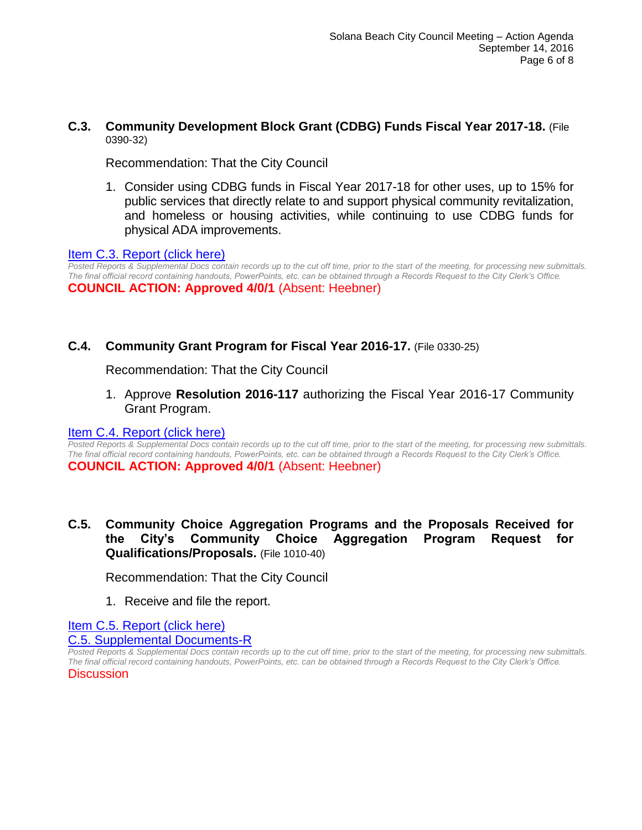# **C.3. Community Development Block Grant (CDBG) Funds Fiscal Year 2017-18.** (File 0390-32)

Recommendation: That the City Council

1. Consider using CDBG funds in Fiscal Year 2017-18 for other uses, up to 15% for public services that directly relate to and support physical community revitalization, and homeless or housing activities, while continuing to use CDBG funds for physical ADA improvements.

# [Item C.3. Report \(click here\)](https://solanabeach.govoffice3.com/vertical/Sites/%7B840804C2-F869-4904-9AE3-720581350CE7%7D/uploads/Item_C.3._Report_(click_here)_09-14-16.PDF)

*Posted Reports & Supplemental Docs contain records up to the cut off time, prior to the start of the meeting, for processing new submittals. The final official record containing handouts, PowerPoints, etc. can be obtained through a Records Request to the City Clerk's Office.* **COUNCIL ACTION: Approved 4/0/1** (Absent: Heebner)

# **C.4. Community Grant Program for Fiscal Year 2016-17.** (File 0330-25)

Recommendation: That the City Council

1. Approve **Resolution 2016-117** authorizing the Fiscal Year 2016-17 Community Grant Program.

#### [Item C.4. Report \(click here\)](https://solanabeach.govoffice3.com/vertical/Sites/%7B840804C2-F869-4904-9AE3-720581350CE7%7D/uploads/Item_C.4._Report_(click_here)_09-14-16.PDF)

*Posted Reports & Supplemental Docs contain records up to the cut off time, prior to the start of the meeting, for processing new submittals. The final official record containing handouts, PowerPoints, etc. can be obtained through a Records Request to the City Clerk's Office.* **COUNCIL ACTION: Approved 4/0/1** (Absent: Heebner)

# **C.5. Community Choice Aggregation Programs and the Proposals Received for the City's Community Choice Aggregation Program Request for Qualifications/Proposals.** (File 1010-40)

Recommendation: That the City Council

1. Receive and file the report.

[Item C.5. Report \(click here\)](https://solanabeach.govoffice3.com/vertical/Sites/%7B840804C2-F869-4904-9AE3-720581350CE7%7D/uploads/Item_C.5._Report_(click_here)_09-14-16.pdf)

#### [C.5. Supplemental Documents-R](https://solanabeach.govoffice3.com/vertical/Sites/%7B840804C2-F869-4904-9AE3-720581350CE7%7D/uploads/C.5._Supplemental_Documents_-_R_9-14-16.pdf)

*Posted Reports & Supplemental Docs contain records up to the cut off time, prior to the start of the meeting, for processing new submittals. The final official record containing handouts, PowerPoints, etc. can be obtained through a Records Request to the City Clerk's Office.* **Discussion**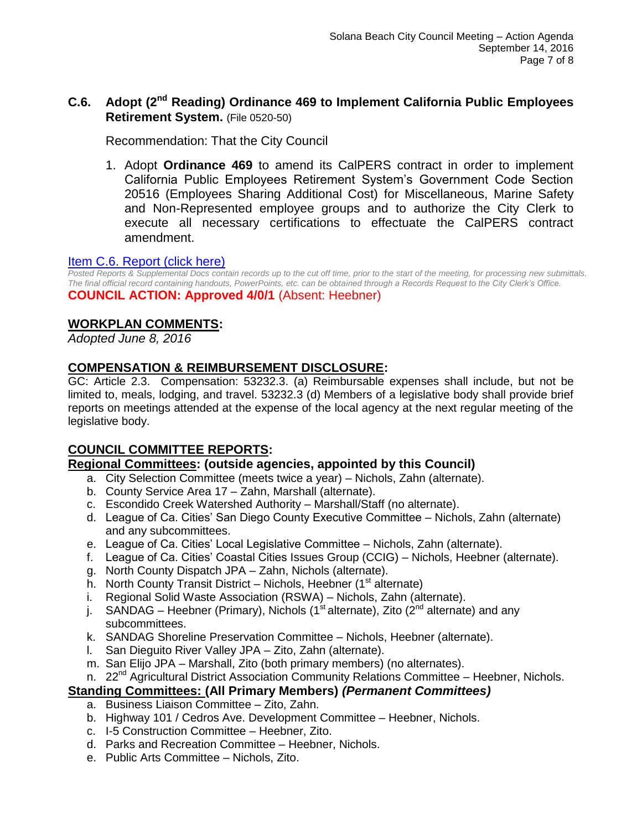# **C.6. Adopt (2nd Reading) Ordinance 469 to Implement California Public Employees Retirement System.** (File 0520-50)

Recommendation: That the City Council

1. Adopt **Ordinance 469** to amend its CalPERS contract in order to implement California Public Employees Retirement System's Government Code Section 20516 (Employees Sharing Additional Cost) for Miscellaneous, Marine Safety and Non-Represented employee groups and to authorize the City Clerk to execute all necessary certifications to effectuate the CalPERS contract amendment.

# [Item C.6. Report \(click here\)](https://solanabeach.govoffice3.com/vertical/Sites/%7B840804C2-F869-4904-9AE3-720581350CE7%7D/uploads/Item_C.6._Report_(click_here)_09-14-16.PDF)

*Posted Reports & Supplemental Docs contain records up to the cut off time, prior to the start of the meeting, for processing new submittals. The final official record containing handouts, PowerPoints, etc. can be obtained through a Records Request to the City Clerk's Office.* **COUNCIL ACTION: Approved 4/0/1** (Absent: Heebner)

# **WORKPLAN COMMENTS:**

*Adopted June 8, 2016*

# **COMPENSATION & REIMBURSEMENT DISCLOSURE:**

GC: Article 2.3. Compensation: 53232.3. (a) Reimbursable expenses shall include, but not be limited to, meals, lodging, and travel. 53232.3 (d) Members of a legislative body shall provide brief reports on meetings attended at the expense of the local agency at the next regular meeting of the legislative body.

# **COUNCIL COMMITTEE REPORTS:**

# **Regional Committees: (outside agencies, appointed by this Council)**

- a. City Selection Committee (meets twice a year) Nichols, Zahn (alternate).
- b. County Service Area 17 Zahn, Marshall (alternate).
- c. Escondido Creek Watershed Authority Marshall/Staff (no alternate).
- d. League of Ca. Cities' San Diego County Executive Committee Nichols, Zahn (alternate) and any subcommittees.
- e. League of Ca. Cities' Local Legislative Committee Nichols, Zahn (alternate).
- f. League of Ca. Cities' Coastal Cities Issues Group (CCIG) Nichols, Heebner (alternate).
- g. North County Dispatch JPA Zahn, Nichols (alternate).
- h. North County Transit District Nichols, Heebner  $(1<sup>st</sup>$  alternate)
- i. Regional Solid Waste Association (RSWA) Nichols, Zahn (alternate).
- j. SANDAG Heebner (Primary), Nichols (1<sup>st</sup> alternate), Zito (2<sup>nd</sup> alternate) and any subcommittees.
- k. SANDAG Shoreline Preservation Committee Nichols, Heebner (alternate).
- l. San Dieguito River Valley JPA Zito, Zahn (alternate).
- m. San Elijo JPA Marshall, Zito (both primary members) (no alternates).
- n. 22<sup>nd</sup> Agricultural District Association Community Relations Committee Heebner, Nichols.

# **Standing Committees: (All Primary Members)** *(Permanent Committees)*

- a. Business Liaison Committee Zito, Zahn.
- b. Highway 101 / Cedros Ave. Development Committee Heebner, Nichols.
- c. I-5 Construction Committee Heebner, Zito.
- d. Parks and Recreation Committee Heebner, Nichols.
- e. Public Arts Committee Nichols, Zito.